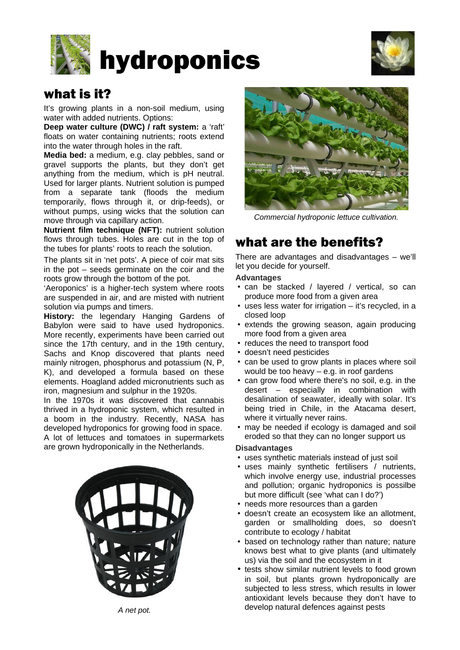



### what is it?

It's growing plants in a non-soil medium, using water with added nutrients. Options:

**Deep water culture (DWC) / raft system:** a 'raft' floats on water containing nutrients; roots extend into the water through holes in the raft.

**Media bed:** a medium, e.g. clay pebbles, sand or gravel supports the plants, but they don't get anything from the medium, which is pH neutral. Used for larger plants. Nutrient solution is pumped from a separate tank (floods the medium temporarily, flows through it, or drip-feeds), or without pumps, using wicks that the solution can move through via capillary action.

**Nutrient film technique (NFT):** nutrient solution flows through tubes. Holes are cut in the top of the tubes for plants' roots to reach the solution.

The plants sit in 'net pots'. A piece of coir mat sits in the pot – seeds germinate on the coir and the roots grow through the bottom of the pot.

'Aeroponics' is a higher-tech system where roots are suspended in air, and are misted with nutrient solution via pumps and timers.

**History:** the legendary Hanging Gardens of Babylon were said to have used hydroponics. More recently, experiments have been carried out since the 17th century, and in the 19th century, Sachs and Knop discovered that plants need mainly nitrogen, phosphorus and potassium (N, P, K), and developed a formula based on these elements. Hoagland added micronutrients such as iron, magnesium and sulphur in the 1920s.

In the 1970s it was discovered that cannabis thrived in a hydroponic system, which resulted in a boom in the industry. Recently, NASA has developed hydroponics for growing food in space. A lot of lettuces and tomatoes in supermarkets are grown hydroponically in the Netherlands.





*Commercial hydroponic lettuce cultivation.*

## what are the benefits?

There are advantages and disadvantages – we'll let you decide for yourself.

#### **Advantages**

- can be stacked / layered / vertical, so can produce more food from a given area
- uses less water for irrigation it's recycled, in a closed loop
- extends the growing season, again producing more food from a given area
- reduces the need to transport food
- doesn't need pesticides
- can be used to grow plants in places where soil would be too heavy – e.g. in roof gardens
- can grow food where there's no soil, e.g. in the desert – especially in combination with desalination of seawater, ideally with solar. It's being tried in Chile, in the Atacama desert, where it virtually never rains.
- may be needed if ecology is damaged and soil eroded so that they can no longer support us

#### **Disadvantages**

- uses synthetic materials instead of just soil
- uses mainly synthetic fertilisers / nutrients, which involve energy use, industrial processes and pollution; organic hydroponics is possilbe but more difficult (see 'what can I do?')
- needs more resources than a garden
- doesn't create an ecosystem like an allotment, garden or smallholding does, so doesn't contribute to ecology / habitat
- based on technology rather than nature; nature knows best what to give plants (and ultimately us) via the soil and the ecosystem in it
- tests show similar nutrient levels to food grown in soil, but plants grown hydroponically are subjected to less stress, which results in lower antioxidant levels because they don't have to develop natural defences against pests *A net pot.*